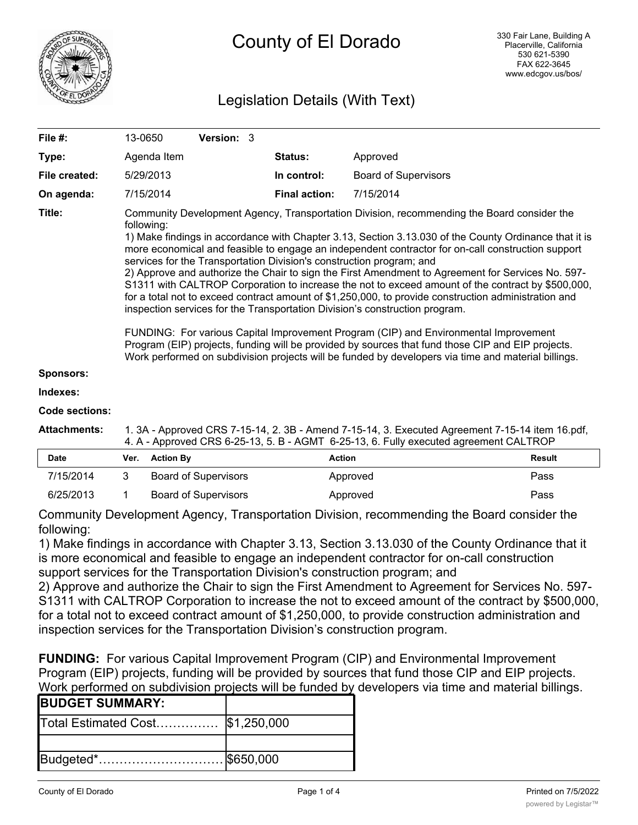

# Legislation Details (With Text)

| File $#$ :    | 13-0650                                                                                                                                                                                                                                                                                                                                                                                                                                                                                                                                                                                                                                                                                                                                                                                                                                                                                                                                                                                                                                                                                             | <b>Version: 3</b> |                      |                             |
|---------------|-----------------------------------------------------------------------------------------------------------------------------------------------------------------------------------------------------------------------------------------------------------------------------------------------------------------------------------------------------------------------------------------------------------------------------------------------------------------------------------------------------------------------------------------------------------------------------------------------------------------------------------------------------------------------------------------------------------------------------------------------------------------------------------------------------------------------------------------------------------------------------------------------------------------------------------------------------------------------------------------------------------------------------------------------------------------------------------------------------|-------------------|----------------------|-----------------------------|
| Type:         | Agenda Item                                                                                                                                                                                                                                                                                                                                                                                                                                                                                                                                                                                                                                                                                                                                                                                                                                                                                                                                                                                                                                                                                         |                   | <b>Status:</b>       | Approved                    |
| File created: | 5/29/2013                                                                                                                                                                                                                                                                                                                                                                                                                                                                                                                                                                                                                                                                                                                                                                                                                                                                                                                                                                                                                                                                                           |                   | In control:          | <b>Board of Supervisors</b> |
| On agenda:    | 7/15/2014                                                                                                                                                                                                                                                                                                                                                                                                                                                                                                                                                                                                                                                                                                                                                                                                                                                                                                                                                                                                                                                                                           |                   | <b>Final action:</b> | 7/15/2014                   |
| Title:        | Community Development Agency, Transportation Division, recommending the Board consider the<br>following:<br>1) Make findings in accordance with Chapter 3.13, Section 3.13.030 of the County Ordinance that it is<br>more economical and feasible to engage an independent contractor for on-call construction support<br>services for the Transportation Division's construction program; and<br>2) Approve and authorize the Chair to sign the First Amendment to Agreement for Services No. 597-<br>S1311 with CALTROP Corporation to increase the not to exceed amount of the contract by \$500,000,<br>for a total not to exceed contract amount of \$1,250,000, to provide construction administration and<br>inspection services for the Transportation Division's construction program.<br>FUNDING: For various Capital Improvement Program (CIP) and Environmental Improvement<br>Program (EIP) projects, funding will be provided by sources that fund those CIP and EIP projects.<br>Work performed on subdivision projects will be funded by developers via time and material billings. |                   |                      |                             |
| Sponsors:     |                                                                                                                                                                                                                                                                                                                                                                                                                                                                                                                                                                                                                                                                                                                                                                                                                                                                                                                                                                                                                                                                                                     |                   |                      |                             |

#### **Indexes:**

#### **Code sections:**

| Attachments: | 1. 3A - Approved CRS 7-15-14, 2. 3B - Amend 7-15-14, 3. Executed Agreement 7-15-14 item 16.pdf, |
|--------------|-------------------------------------------------------------------------------------------------|
|              | 4. A - Approved CRS 6-25-13, 5. B - AGMT 6-25-13, 6. Fully executed agreement CALTROP           |

| <b>Date</b> | Ver. Action By       | <b>Action</b> | Result |
|-------------|----------------------|---------------|--------|
| 7/15/2014   | Board of Supervisors | Approved      | Pass   |
| 6/25/2013   | Board of Supervisors | Approved      | Pass   |

Community Development Agency, Transportation Division, recommending the Board consider the following:

1) Make findings in accordance with Chapter 3.13, Section 3.13.030 of the County Ordinance that it is more economical and feasible to engage an independent contractor for on-call construction support services for the Transportation Division's construction program; and

2) Approve and authorize the Chair to sign the First Amendment to Agreement for Services No. 597- S1311 with CALTROP Corporation to increase the not to exceed amount of the contract by \$500,000, for a total not to exceed contract amount of \$1,250,000, to provide construction administration and inspection services for the Transportation Division's construction program.

**FUNDING:** For various Capital Improvement Program (CIP) and Environmental Improvement Program (EIP) projects, funding will be provided by sources that fund those CIP and EIP projects. Work performed on subdivision projects will be funded by developers via time and material billings.

| <b>BUDGET SUMMARY:</b>            |  |
|-----------------------------------|--|
| Total Estimated Cost  \$1,250,000 |  |
|                                   |  |
|                                   |  |
|                                   |  |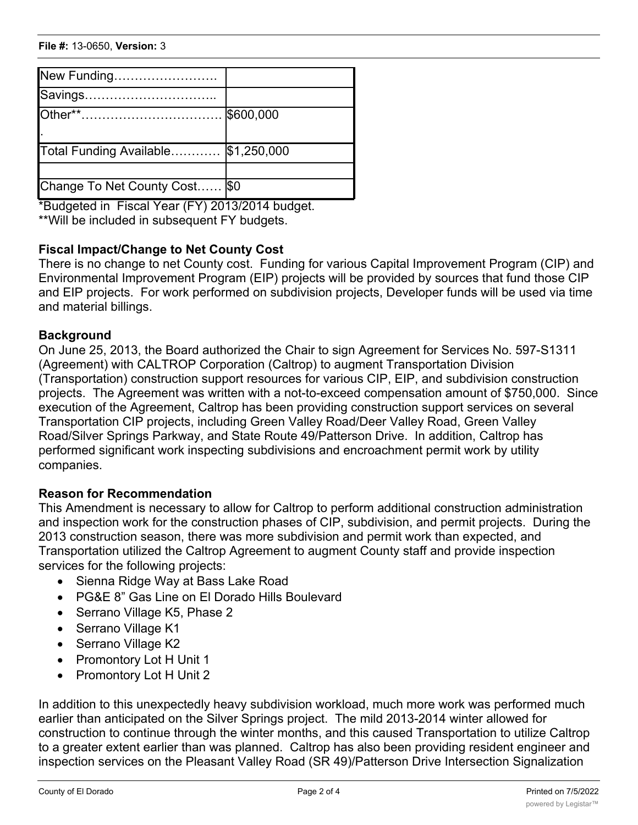| New Funding                         |  |
|-------------------------------------|--|
| Savings                             |  |
|                                     |  |
|                                     |  |
| Total Funding Available \$1,250,000 |  |
|                                     |  |
| Change To Net County Cost   \$0     |  |

\*Budgeted in Fiscal Year (FY) 2013/2014 budget. \*\*Will be included in subsequent FY budgets.

# **Fiscal Impact/Change to Net County Cost**

There is no change to net County cost. Funding for various Capital Improvement Program (CIP) and Environmental Improvement Program (EIP) projects will be provided by sources that fund those CIP and EIP projects. For work performed on subdivision projects, Developer funds will be used via time and material billings.

# **Background**

On June 25, 2013, the Board authorized the Chair to sign Agreement for Services No. 597-S1311 (Agreement) with CALTROP Corporation (Caltrop) to augment Transportation Division (Transportation) construction support resources for various CIP, EIP, and subdivision construction projects. The Agreement was written with a not-to-exceed compensation amount of \$750,000. Since execution of the Agreement, Caltrop has been providing construction support services on several Transportation CIP projects, including Green Valley Road/Deer Valley Road, Green Valley Road/Silver Springs Parkway, and State Route 49/Patterson Drive. In addition, Caltrop has performed significant work inspecting subdivisions and encroachment permit work by utility companies.

# **Reason for Recommendation**

This Amendment is necessary to allow for Caltrop to perform additional construction administration and inspection work for the construction phases of CIP, subdivision, and permit projects. During the 2013 construction season, there was more subdivision and permit work than expected, and Transportation utilized the Caltrop Agreement to augment County staff and provide inspection services for the following projects:

- · Sienna Ridge Way at Bass Lake Road
- · PG&E 8" Gas Line on El Dorado Hills Boulevard
- · Serrano Village K5, Phase 2
- Serrano Village K1
- Serrano Village K2
- Promontory Lot H Unit 1
- Promontory Lot H Unit 2

In addition to this unexpectedly heavy subdivision workload, much more work was performed much earlier than anticipated on the Silver Springs project. The mild 2013-2014 winter allowed for construction to continue through the winter months, and this caused Transportation to utilize Caltrop to a greater extent earlier than was planned. Caltrop has also been providing resident engineer and inspection services on the Pleasant Valley Road (SR 49)/Patterson Drive Intersection Signalization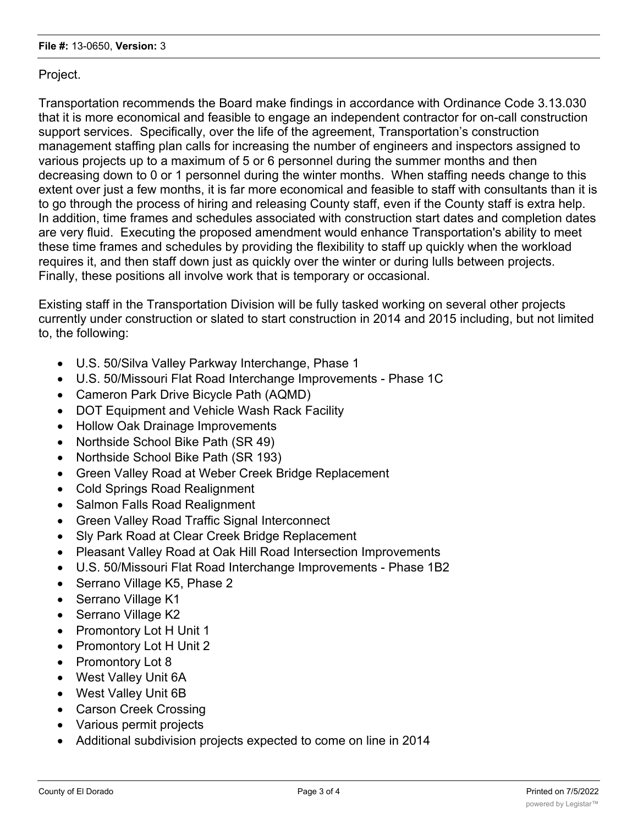Project.

Transportation recommends the Board make findings in accordance with Ordinance Code 3.13.030 that it is more economical and feasible to engage an independent contractor for on-call construction support services. Specifically, over the life of the agreement, Transportation's construction management staffing plan calls for increasing the number of engineers and inspectors assigned to various projects up to a maximum of 5 or 6 personnel during the summer months and then decreasing down to 0 or 1 personnel during the winter months. When staffing needs change to this extent over just a few months, it is far more economical and feasible to staff with consultants than it is to go through the process of hiring and releasing County staff, even if the County staff is extra help. In addition, time frames and schedules associated with construction start dates and completion dates are very fluid. Executing the proposed amendment would enhance Transportation's ability to meet these time frames and schedules by providing the flexibility to staff up quickly when the workload requires it, and then staff down just as quickly over the winter or during lulls between projects. Finally, these positions all involve work that is temporary or occasional.

Existing staff in the Transportation Division will be fully tasked working on several other projects currently under construction or slated to start construction in 2014 and 2015 including, but not limited to, the following:

- · U.S. 50/Silva Valley Parkway Interchange, Phase 1
- · U.S. 50/Missouri Flat Road Interchange Improvements Phase 1C
- · Cameron Park Drive Bicycle Path (AQMD)
- · DOT Equipment and Vehicle Wash Rack Facility
- · Hollow Oak Drainage Improvements
- · Northside School Bike Path (SR 49)
- Northside School Bike Path (SR 193)
- · Green Valley Road at Weber Creek Bridge Replacement
- · Cold Springs Road Realignment
- · Salmon Falls Road Realignment
- · Green Valley Road Traffic Signal Interconnect
- Sly Park Road at Clear Creek Bridge Replacement
- · Pleasant Valley Road at Oak Hill Road Intersection Improvements
- · U.S. 50/Missouri Flat Road Interchange Improvements Phase 1B2
- Serrano Village K5, Phase 2
- Serrano Village K1
- Serrano Village K2
- Promontory Lot H Unit 1
- Promontory Lot H Unit 2
- Promontory Lot 8
- · West Valley Unit 6A
- · West Valley Unit 6B
- · Carson Creek Crossing
- · Various permit projects
- · Additional subdivision projects expected to come on line in 2014